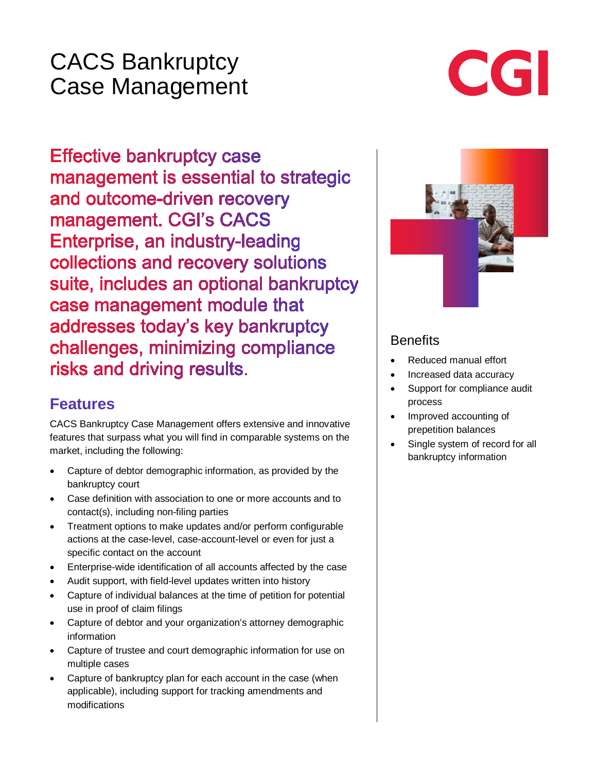## CACS Bankruptcy Case Management

# CGI

**Effective bankruptcy case** management is essential to strategic and outcome-driven recovery management. CGI's CACS Enterprise, an industry-leading collections and recovery solutions suite, includes an optional bankruptcy case management module that addresses today's key bankruptcy challenges, minimizing compliance risks and driving results.

## **Features**

CACS Bankruptcy Case Management offers extensive and innovative features that surpass what you will find in comparable systems on the market, including the following:

- Capture of debtor demographic information, as provided by the bankruptcy court
- Case definition with association to one or more accounts and to contact(s), including non-filing parties
- Treatment options to make updates and/or perform configurable actions at the case-level, case-account-level or even for just a specific contact on the account
- Enterprise-wide identification of all accounts affected by the case
- Audit support, with field-level updates written into history
- Capture of individual balances at the time of petition for potential use in proof of claim filings
- Capture of debtor and your organization's attorney demographic information
- Capture of trustee and court demographic information for use on multiple cases
- Capture of bankruptcy plan for each account in the case (when applicable), including support for tracking amendments and modifications



#### **Benefits**

- Reduced manual effort
- Increased data accuracy
- Support for compliance audit process
- Improved accounting of prepetition balances
- Single system of record for all bankruptcy information